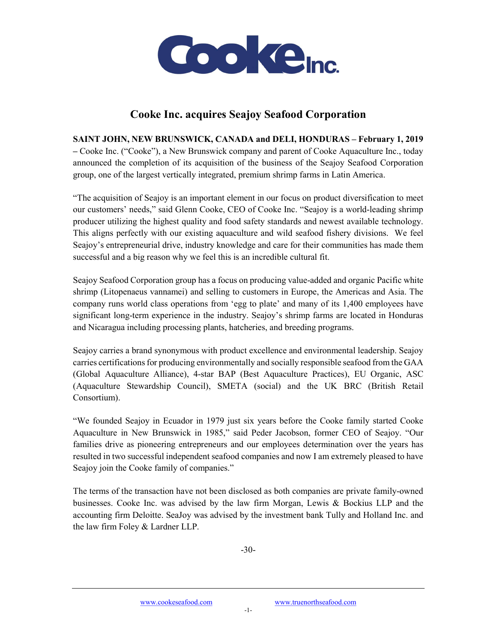

## Cooke Inc. acquires Seajoy Seafood Corporation

SAINT JOHN, NEW BRUNSWICK, CANADA and DELI, HONDURAS – February 1, 2019 – Cooke Inc. ("Cooke"), a New Brunswick company and parent of Cooke Aquaculture Inc., today announced the completion of its acquisition of the business of the Seajoy Seafood Corporation

group, one of the largest vertically integrated, premium shrimp farms in Latin America.

"The acquisition of Seajoy is an important element in our focus on product diversification to meet our customers' needs," said Glenn Cooke, CEO of Cooke Inc. "Seajoy is a world-leading shrimp producer utilizing the highest quality and food safety standards and newest available technology. This aligns perfectly with our existing aquaculture and wild seafood fishery divisions. We feel Seajoy's entrepreneurial drive, industry knowledge and care for their communities has made them successful and a big reason why we feel this is an incredible cultural fit.

Seajoy Seafood Corporation group has a focus on producing value-added and organic Pacific white shrimp (Litopenaeus vannamei) and selling to customers in Europe, the Americas and Asia. The company runs world class operations from 'egg to plate' and many of its 1,400 employees have significant long-term experience in the industry. Seajoy's shrimp farms are located in Honduras and Nicaragua including processing plants, hatcheries, and breeding programs.

Seajoy carries a brand synonymous with product excellence and environmental leadership. Seajoy carries certifications for producing environmentally and socially responsible seafood from the GAA (Global Aquaculture Alliance), 4-star BAP (Best Aquaculture Practices), EU Organic, ASC (Aquaculture Stewardship Council), SMETA (social) and the UK BRC (British Retail Consortium).

"We founded Seajoy in Ecuador in 1979 just six years before the Cooke family started Cooke Aquaculture in New Brunswick in 1985," said Peder Jacobson, former CEO of Seajoy. "Our families drive as pioneering entrepreneurs and our employees determination over the years has resulted in two successful independent seafood companies and now I am extremely pleased to have Seajoy join the Cooke family of companies."

The terms of the transaction have not been disclosed as both companies are private family-owned businesses. Cooke Inc. was advised by the law firm Morgan, Lewis & Bockius LLP and the accounting firm Deloitte. SeaJoy was advised by the investment bank Tully and Holland Inc. and the law firm Foley & Lardner LLP.

-30-